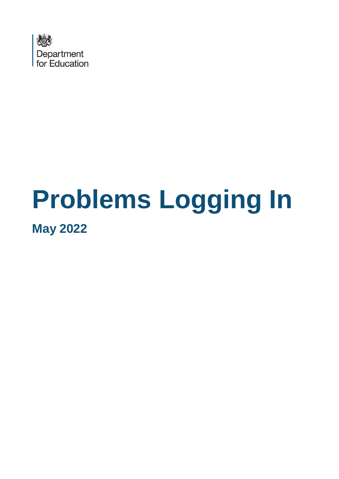

# **Problems Logging In May 2022**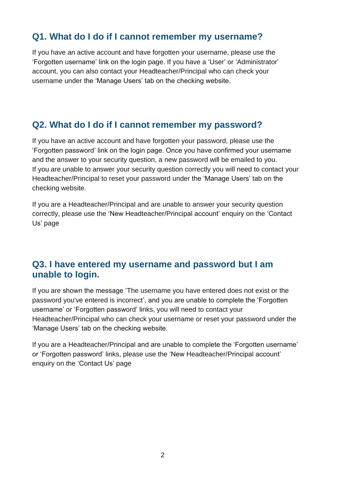# **Q1. What do I do if I cannot remember my username?**

If you have an active account and have forgotten your username, please use the 'Forgotten username' link on the login page. If you have a 'User' or 'Administrator' account, you can also contact your Headteacher/Principal who can check your username under the 'Manage Users' tab on the checking website.

#### **Q2. What do I do if I cannot remember my password?**

If you have an active account and have forgotten your password, please use the 'Forgotten password' link on the login page. Once you have confirmed your username and the answer to your security question, a new password will be emailed to you. If you are unable to answer your security question correctly you will need to contact your Headteacher/Principal to reset your password under the 'Manage Users' tab on the checking website.

If you are a Headteacher/Principal and are unable to answer your security question correctly, please use the 'New Headteacher/Principal account' enquiry on the 'Contact Us' page

#### **Q3. I have entered my username and password but I am unable to login.**

If you are shown the message 'The username you have entered does not exist or the password you've entered is incorrect', and you are unable to complete the 'Forgotten username' or 'Forgotten password' links, you will need to contact your Headteacher/Principal who can check your username or reset your password under the 'Manage Users' tab on the checking website.

If you are a Headteacher/Principal and are unable to complete the 'Forgotten username' or 'Forgotten password' links, please use the 'New Headteacher/Principal account' enquiry on the 'Contact Us' page